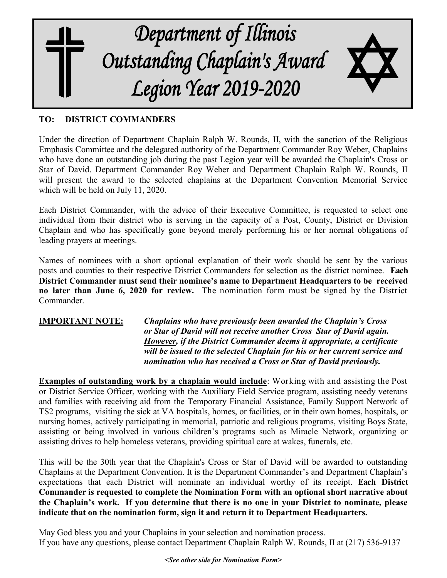

## **TO: DISTRICT COMMANDERS**

Under the direction of Department Chaplain Ralph W. Rounds, II, with the sanction of the Religious Emphasis Committee and the delegated authority of the Department Commander Roy Weber, Chaplains who have done an outstanding job during the past Legion year will be awarded the Chaplain's Cross or Star of David. Department Commander Roy Weber and Department Chaplain Ralph W. Rounds, II will present the award to the selected chaplains at the Department Convention Memorial Service which will be held on July 11, 2020.

Each District Commander, with the advice of their Executive Committee, is requested to select one individual from their district who is serving in the capacity of a Post, County, District or Division Chaplain and who has specifically gone beyond merely performing his or her normal obligations of leading prayers at meetings.

Names of nominees with a short optional explanation of their work should be sent by the various posts and counties to their respective District Commanders for selection as the district nominee. **Each District Commander must send their nominee's name to Department Headquarters to be received no later than June 6, 2020 for review.** The nomination form must be signed by the District Commander.

**IMPORTANT NOTE:** *Chaplains who have previously been awarded the Chaplain's Cross or Star of David will not receive another Cross Star of David again. However, if the District Commander deems it appropriate, a certificate will be issued to the selected Chaplain for his or her current service and nomination who has received a Cross or Star of David previously.*

**Examples of outstanding work by a chaplain would include**: Working with and assisting the Post or District Service Officer, working with the Auxiliary Field Service program, assisting needy veterans and families with receiving aid from the Temporary Financial Assistance, Family Support Network of TS2 programs, visiting the sick at VA hospitals, homes, or facilities, or in their own homes, hospitals, or nursing homes, actively participating in memorial, patriotic and religious programs, visiting Boys State, assisting or being involved in various children's programs such as Miracle Network, organizing or assisting drives to help homeless veterans, providing spiritual care at wakes, funerals, etc.

This will be the 30th year that the Chaplain's Cross or Star of David will be awarded to outstanding Chaplains at the Department Convention. It is the Department Commander's and Department Chaplain's expectations that each District will nominate an individual worthy of its receipt. **Each District Commander is requested to complete the Nomination Form with an optional short narrative about the Chaplain's work. If you determine that there is no one in your District to nominate, please indicate that on the nomination form, sign it and return it to Department Headquarters.**

May God bless you and your Chaplains in your selection and nomination process. If you have any questions, please contact Department Chaplain Ralph W. Rounds, II at (217) 536-9137